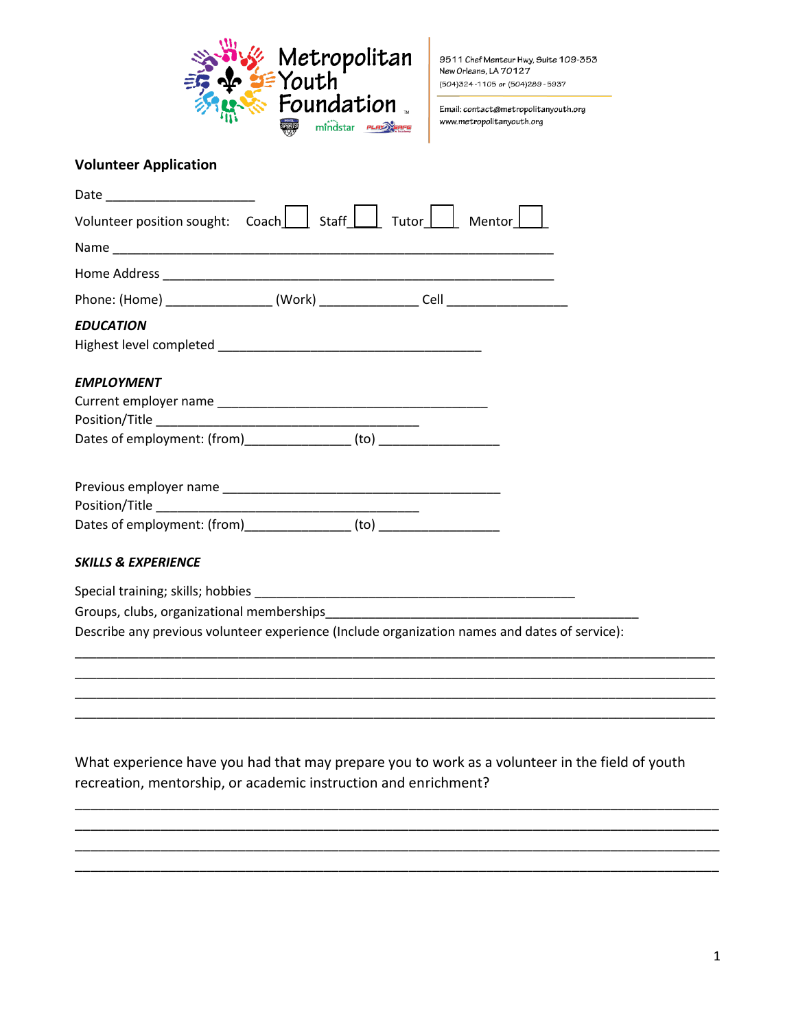

9511 Chef Menteur Hwy, Suite 109-353 New Orleans, LA 70127 (504)324-1105 or (504)289-5937

Email: contact@metropolitanyouth.org www.metropolitanyouth.org

## **Volunteer Application**

| Volunteer position sought: Coach     Staff                                                    | Tutor $\Box$<br>Mentor |
|-----------------------------------------------------------------------------------------------|------------------------|
|                                                                                               |                        |
|                                                                                               |                        |
|                                                                                               |                        |
| <b>EDUCATION</b>                                                                              |                        |
| <b>EMPLOYMENT</b>                                                                             |                        |
|                                                                                               |                        |
| Dates of employment: (from)_________________ (to) ______________________________              |                        |
|                                                                                               |                        |
| Dates of employment: (from)_________________ (to) ______________________________              |                        |
| <b>SKILLS &amp; EXPERIENCE</b>                                                                |                        |
|                                                                                               |                        |
|                                                                                               |                        |
| Describe any previous volunteer experience (Include organization names and dates of service): |                        |
|                                                                                               |                        |

What experience have you had that may prepare you to work as a volunteer in the field of youth recreation, mentorship, or academic instruction and enrichment?